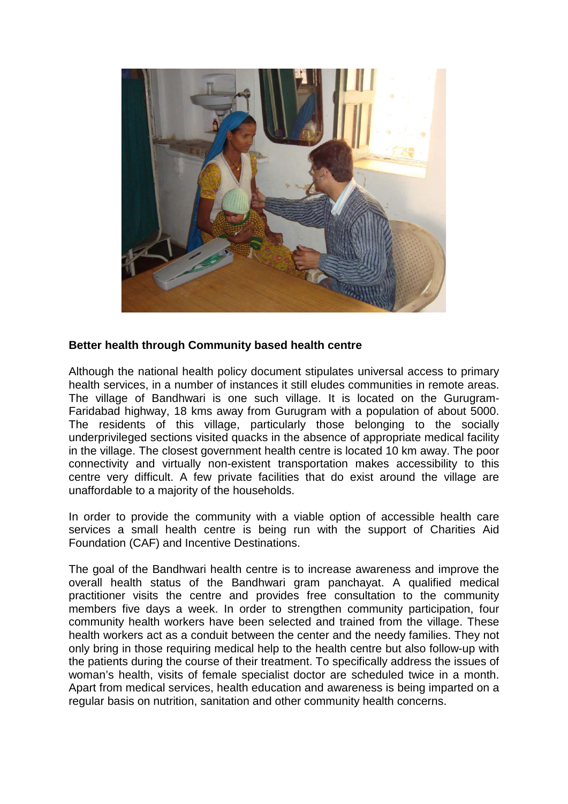

## **Better health through Community based health centre**

Although the national health policy document stipulates universal access to primary health services, in a number of instances it still eludes communities in remote areas. The village of Bandhwari is one such village. It is located on the Gurugram-Faridabad highway, 18 kms away from Gurugram with a population of about 5000. The residents of this village, particularly those belonging to the socially underprivileged sections visited quacks in the absence of appropriate medical facility in the village. The closest government health centre is located 10 km away. The poor connectivity and virtually non-existent transportation makes accessibility to this centre very difficult. A few private facilities that do exist around the village are unaffordable to a majority of the households.

In order to provide the community with a viable option of accessible health care services a small health centre is being run with the support of Charities Aid Foundation (CAF) and Incentive Destinations.

The goal of the Bandhwari health centre is to increase awareness and improve the overall health status of the Bandhwari gram panchayat. A qualified medical practitioner visits the centre and provides free consultation to the community members five days a week. In order to strengthen community participation, four community health workers have been selected and trained from the village. These health workers act as a conduit between the center and the needy families. They not only bring in those requiring medical help to the health centre but also follow-up with the patients during the course of their treatment. To specifically address the issues of woman's health, visits of female specialist doctor are scheduled twice in a month. Apart from medical services, health education and awareness is being imparted on a regular basis on nutrition, sanitation and other community health concerns.